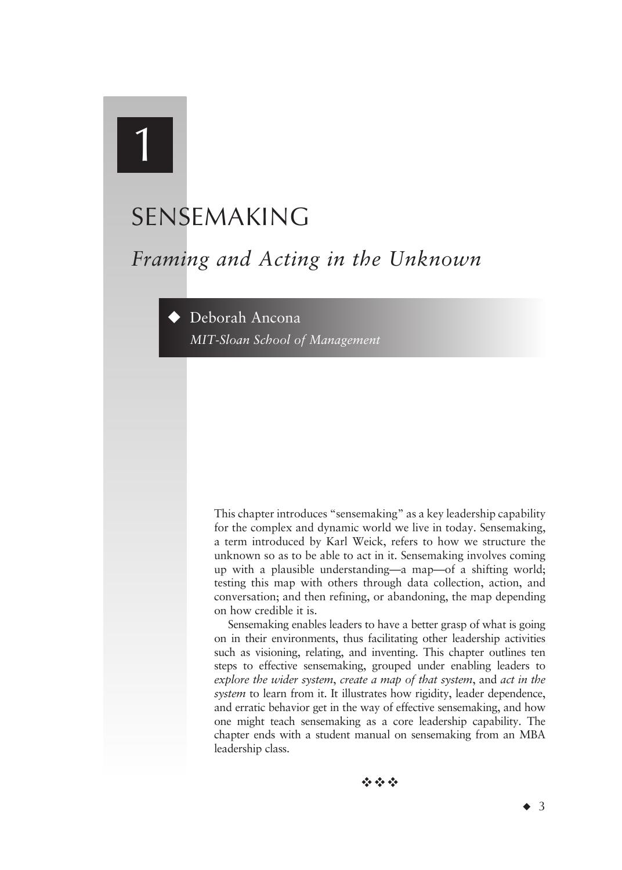# 1

# SENSEMAKING

# *Framing and Acting in the Unknown*

Deborah Ancona *MIT-Sloan School of Management*

> This chapter introduces "sensemaking" as a key leadership capability for the complex and dynamic world we live in today. Sensemaking, a term introduced by Karl Weick, refers to how we structure the unknown so as to be able to act in it. Sensemaking involves coming up with a plausible understanding—a map—of a shifting world; testing this map with others through data collection, action, and conversation; and then refining, or abandoning, the map depending on how credible it is.

> Sensemaking enables leaders to have a better grasp of what is going on in their environments, thus facilitating other leadership activities such as visioning, relating, and inventing. This chapter outlines ten steps to effective sensemaking, grouped under enabling leaders to *explore the wider system*, *create a map of that system*, and *act in the system* to learn from it. It illustrates how rigidity, leader dependence, and erratic behavior get in the way of effective sensemaking, and how one might teach sensemaking as a core leadership capability. The chapter ends with a student manual on sensemaking from an MBA leadership class.

> > 经合金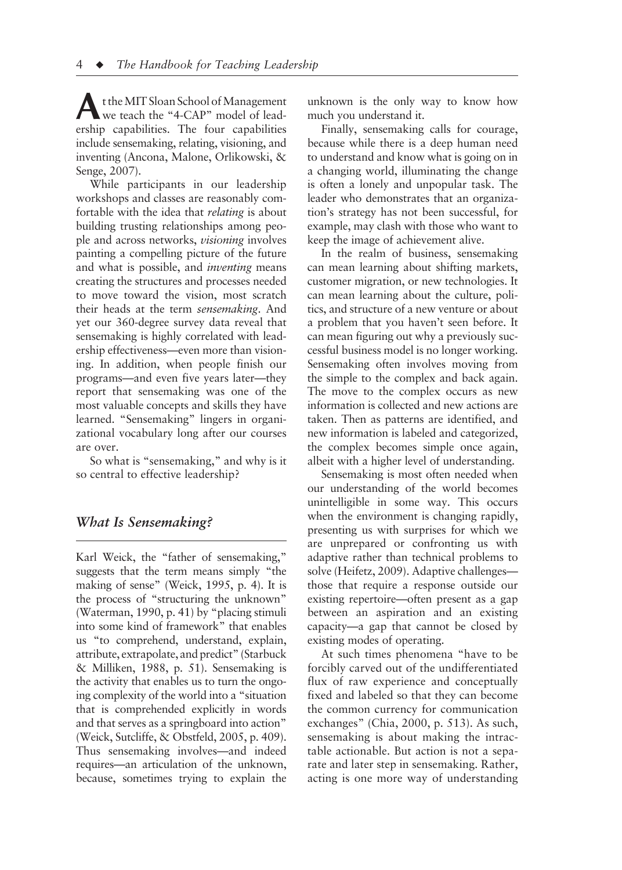the MIT Sloan School of Management<br>we teach the "4-CAP" model of leadership capabilities. The four capabilities include sensemaking, relating, visioning, and inventing (Ancona, Malone, Orlikowski, & Senge, 2007).

While participants in our leadership workshops and classes are reasonably comfortable with the idea that *relating* is about building trusting relationships among people and across networks, *visioning* involves painting a compelling picture of the future and what is possible, and *inventing* means creating the structures and processes needed to move toward the vision, most scratch their heads at the term *sensemaking*. And yet our 360-degree survey data reveal that sensemaking is highly correlated with leadership effectiveness—even more than visioning. In addition, when people finish our programs—and even five years later—they report that sensemaking was one of the most valuable concepts and skills they have learned. "Sensemaking" lingers in organizational vocabulary long after our courses are over.

So what is "sensemaking," and why is it so central to effective leadership?

# *What Is Sensemaking?*

Karl Weick, the "father of sensemaking," suggests that the term means simply "the making of sense" (Weick, 1995, p. 4). It is the process of "structuring the unknown" (Waterman, 1990, p. 41) by "placing stimuli into some kind of framework" that enables us "to comprehend, understand, explain, attribute, extrapolate, and predict" (Starbuck & Milliken, 1988, p. 51). Sensemaking is the activity that enables us to turn the ongoing complexity of the world into a "situation that is comprehended explicitly in words and that serves as a springboard into action" (Weick, Sutcliffe, & Obstfeld, 2005, p. 409). Thus sensemaking involves—and indeed requires—an articulation of the unknown, because, sometimes trying to explain the

unknown is the only way to know how much you understand it.

Finally, sensemaking calls for courage, because while there is a deep human need to understand and know what is going on in a changing world, illuminating the change is often a lonely and unpopular task. The leader who demonstrates that an organization's strategy has not been successful, for example, may clash with those who want to keep the image of achievement alive.

In the realm of business, sensemaking can mean learning about shifting markets, customer migration, or new technologies. It can mean learning about the culture, politics, and structure of a new venture or about a problem that you haven't seen before. It can mean figuring out why a previously successful business model is no longer working. Sensemaking often involves moving from the simple to the complex and back again. The move to the complex occurs as new information is collected and new actions are taken. Then as patterns are identified, and new information is labeled and categorized, the complex becomes simple once again, albeit with a higher level of understanding.

Sensemaking is most often needed when our understanding of the world becomes unintelligible in some way. This occurs when the environment is changing rapidly, presenting us with surprises for which we are unprepared or confronting us with adaptive rather than technical problems to solve (Heifetz, 2009). Adaptive challenges those that require a response outside our existing repertoire—often present as a gap between an aspiration and an existing capacity—a gap that cannot be closed by existing modes of operating.

At such times phenomena "have to be forcibly carved out of the undifferentiated flux of raw experience and conceptually fixed and labeled so that they can become the common currency for communication exchanges" (Chia, 2000, p. 513). As such, sensemaking is about making the intractable actionable. But action is not a separate and later step in sensemaking. Rather, acting is one more way of understanding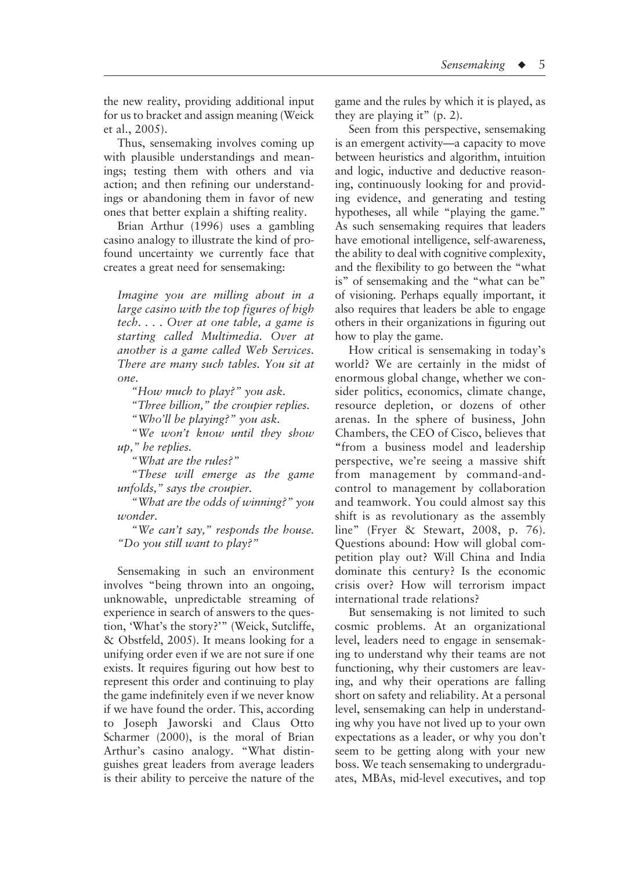the new reality, providing additional input for us to bracket and assign meaning (Weick et al., 2005).

Thus, sensemaking involves coming up with plausible understandings and meanings; testing them with others and via action; and then refining our understandings or abandoning them in favor of new ones that better explain a shifting reality.

Brian Arthur (1996) uses a gambling casino analogy to illustrate the kind of profound uncertainty we currently face that creates a great need for sensemaking:

*Imagine you are milling about in a large casino with the top figures of high tech. . . . Over at one table, a game is starting called Multimedia. Over at another is a game called Web Services. There are many such tables. You sit at one.*

*"How much to play?" you ask.*

*"Three billion," the croupier replies.*

*"Who'll be playing?" you ask.*

*"We won't know until they show up," he replies.*

*"What are the rules?"*

*"These will emerge as the game unfolds," says the croupier.*

*"What are the odds of winning?" you wonder.*

*"We can't say," responds the house. "Do you still want to play?"*

Sensemaking in such an environment involves "being thrown into an ongoing, unknowable, unpredictable streaming of experience in search of answers to the question, 'What's the story?'" (Weick, Sutcliffe, & Obstfeld, 2005). It means looking for a unifying order even if we are not sure if one exists. It requires figuring out how best to represent this order and continuing to play the game indefinitely even if we never know if we have found the order. This, according to Joseph Jaworski and Claus Otto Scharmer (2000), is the moral of Brian Arthur's casino analogy. "What distinguishes great leaders from average leaders is their ability to perceive the nature of the

game and the rules by which it is played, as they are playing it" (p. 2).

Seen from this perspective, sensemaking is an emergent activity—a capacity to move between heuristics and algorithm, intuition and logic, inductive and deductive reasoning, continuously looking for and providing evidence, and generating and testing hypotheses, all while "playing the game." As such sensemaking requires that leaders have emotional intelligence, self-awareness, the ability to deal with cognitive complexity, and the flexibility to go between the "what is" of sensemaking and the "what can be" of visioning. Perhaps equally important, it also requires that leaders be able to engage others in their organizations in figuring out how to play the game.

How critical is sensemaking in today's world? We are certainly in the midst of enormous global change, whether we consider politics, economics, climate change, resource depletion, or dozens of other arenas. In the sphere of business, John Chambers, the CEO of Cisco, believes that **"**from a business model and leadership perspective, we're seeing a massive shift from management by command-andcontrol to management by collaboration and teamwork. You could almost say this shift is as revolutionary as the assembly line" (Fryer & Stewart, 2008, p. 76). Questions abound: How will global competition play out? Will China and India dominate this century? Is the economic crisis over? How will terrorism impact international trade relations?

But sensemaking is not limited to such cosmic problems. At an organizational level, leaders need to engage in sensemaking to understand why their teams are not functioning, why their customers are leaving, and why their operations are falling short on safety and reliability. At a personal level, sensemaking can help in understanding why you have not lived up to your own expectations as a leader, or why you don't seem to be getting along with your new boss. We teach sensemaking to undergraduates, MBAs, mid-level executives, and top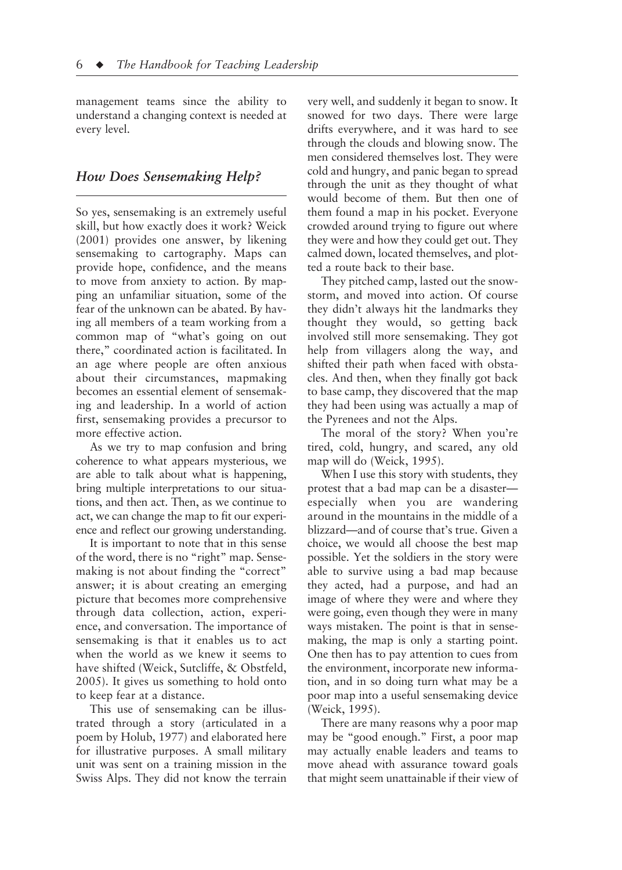management teams since the ability to understand a changing context is needed at every level.

# *How Does Sensemaking Help?*

So yes, sensemaking is an extremely useful skill, but how exactly does it work? Weick (2001) provides one answer, by likening sensemaking to cartography. Maps can provide hope, confidence, and the means to move from anxiety to action. By mapping an unfamiliar situation, some of the fear of the unknown can be abated. By having all members of a team working from a common map of "what's going on out there," coordinated action is facilitated. In an age where people are often anxious about their circumstances, mapmaking becomes an essential element of sensemaking and leadership. In a world of action first, sensemaking provides a precursor to more effective action.

As we try to map confusion and bring coherence to what appears mysterious, we are able to talk about what is happening, bring multiple interpretations to our situations, and then act. Then, as we continue to act, we can change the map to fit our experience and reflect our growing understanding.

It is important to note that in this sense of the word, there is no "right" map. Sensemaking is not about finding the "correct" answer; it is about creating an emerging picture that becomes more comprehensive through data collection, action, experience, and conversation. The importance of sensemaking is that it enables us to act when the world as we knew it seems to have shifted (Weick, Sutcliffe, & Obstfeld, 2005). It gives us something to hold onto to keep fear at a distance.

This use of sensemaking can be illustrated through a story (articulated in a poem by Holub, 1977) and elaborated here for illustrative purposes. A small military unit was sent on a training mission in the Swiss Alps. They did not know the terrain very well, and suddenly it began to snow. It snowed for two days. There were large drifts everywhere, and it was hard to see through the clouds and blowing snow. The men considered themselves lost. They were cold and hungry, and panic began to spread through the unit as they thought of what would become of them. But then one of them found a map in his pocket. Everyone crowded around trying to figure out where they were and how they could get out. They calmed down, located themselves, and plotted a route back to their base.

They pitched camp, lasted out the snowstorm, and moved into action. Of course they didn't always hit the landmarks they thought they would, so getting back involved still more sensemaking. They got help from villagers along the way, and shifted their path when faced with obstacles. And then, when they finally got back to base camp, they discovered that the map they had been using was actually a map of the Pyrenees and not the Alps.

The moral of the story? When you're tired, cold, hungry, and scared, any old map will do (Weick, 1995).

When I use this story with students, they protest that a bad map can be a disaster especially when you are wandering around in the mountains in the middle of a blizzard—and of course that's true. Given a choice, we would all choose the best map possible. Yet the soldiers in the story were able to survive using a bad map because they acted, had a purpose, and had an image of where they were and where they were going, even though they were in many ways mistaken. The point is that in sensemaking, the map is only a starting point. One then has to pay attention to cues from the environment, incorporate new information, and in so doing turn what may be a poor map into a useful sensemaking device (Weick, 1995).

There are many reasons why a poor map may be "good enough." First, a poor map may actually enable leaders and teams to move ahead with assurance toward goals that might seem unattainable if their view of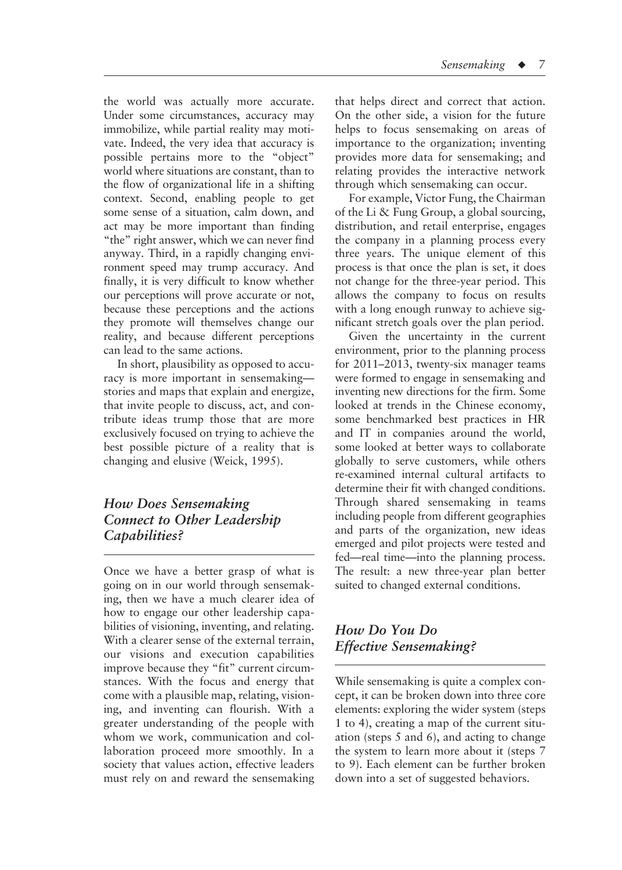the world was actually more accurate. Under some circumstances, accuracy may immobilize, while partial reality may motivate. Indeed, the very idea that accuracy is possible pertains more to the "object" world where situations are constant, than to the flow of organizational life in a shifting context. Second, enabling people to get some sense of a situation, calm down, and act may be more important than finding "the" right answer, which we can never find anyway. Third, in a rapidly changing environment speed may trump accuracy. And finally, it is very difficult to know whether our perceptions will prove accurate or not, because these perceptions and the actions they promote will themselves change our reality, and because different perceptions can lead to the same actions.

In short, plausibility as opposed to accuracy is more important in sensemaking stories and maps that explain and energize, that invite people to discuss, act, and contribute ideas trump those that are more exclusively focused on trying to achieve the best possible picture of a reality that is changing and elusive (Weick, 1995).

# *How Does Sensemaking Connect to Other Leadership Capabilities?*

Once we have a better grasp of what is going on in our world through sensemaking, then we have a much clearer idea of how to engage our other leadership capabilities of visioning, inventing, and relating. With a clearer sense of the external terrain, our visions and execution capabilities improve because they "fit" current circumstances. With the focus and energy that come with a plausible map, relating, visioning, and inventing can flourish. With a greater understanding of the people with whom we work, communication and collaboration proceed more smoothly. In a society that values action, effective leaders must rely on and reward the sensemaking that helps direct and correct that action. On the other side, a vision for the future helps to focus sensemaking on areas of importance to the organization; inventing provides more data for sensemaking; and relating provides the interactive network through which sensemaking can occur.

For example, Victor Fung, the Chairman of the Li & Fung Group, a global sourcing, distribution, and retail enterprise, engages the company in a planning process every three years. The unique element of this process is that once the plan is set, it does not change for the three-year period. This allows the company to focus on results with a long enough runway to achieve significant stretch goals over the plan period.

Given the uncertainty in the current environment, prior to the planning process for 2011–2013, twenty-six manager teams were formed to engage in sensemaking and inventing new directions for the firm. Some looked at trends in the Chinese economy, some benchmarked best practices in HR and IT in companies around the world, some looked at better ways to collaborate globally to serve customers, while others re-examined internal cultural artifacts to determine their fit with changed conditions. Through shared sensemaking in teams including people from different geographies and parts of the organization, new ideas emerged and pilot projects were tested and fed—real time—into the planning process. The result: a new three-year plan better suited to changed external conditions.

# *How Do You Do Effective Sensemaking?*

While sensemaking is quite a complex concept, it can be broken down into three core elements: exploring the wider system (steps 1 to 4), creating a map of the current situation (steps 5 and 6), and acting to change the system to learn more about it (steps 7 to 9). Each element can be further broken down into a set of suggested behaviors.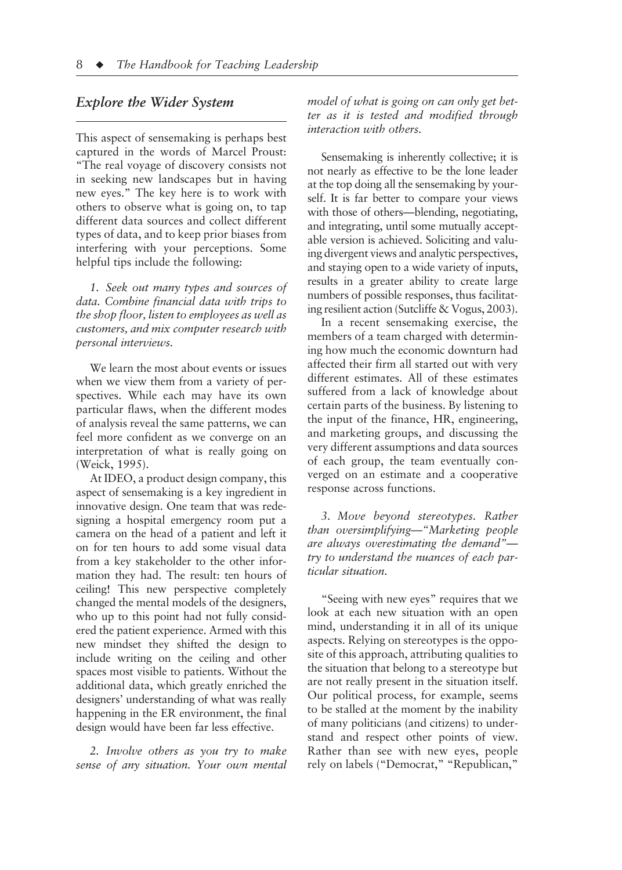# *Explore the Wider System*

This aspect of sensemaking is perhaps best captured in the words of Marcel Proust: "The real voyage of discovery consists not in seeking new landscapes but in having new eyes." The key here is to work with others to observe what is going on, to tap different data sources and collect different types of data, and to keep prior biases from interfering with your perceptions. Some helpful tips include the following:

*1. Seek out many types and sources of data. Combine financial data with trips to the shop floor, listen to employees as well as customers, and mix computer research with personal interviews.*

We learn the most about events or issues when we view them from a variety of perspectives. While each may have its own particular flaws, when the different modes of analysis reveal the same patterns, we can feel more confident as we converge on an interpretation of what is really going on (Weick, 1995).

At IDEO, a product design company, this aspect of sensemaking is a key ingredient in innovative design. One team that was redesigning a hospital emergency room put a camera on the head of a patient and left it on for ten hours to add some visual data from a key stakeholder to the other information they had. The result: ten hours of ceiling! This new perspective completely changed the mental models of the designers, who up to this point had not fully considered the patient experience. Armed with this new mindset they shifted the design to include writing on the ceiling and other spaces most visible to patients. Without the additional data, which greatly enriched the designers' understanding of what was really happening in the ER environment, the final design would have been far less effective.

*2. Involve others as you try to make sense of any situation. Your own mental* 

*model of what is going on can only get better as it is tested and modified through interaction with others.*

Sensemaking is inherently collective; it is not nearly as effective to be the lone leader at the top doing all the sensemaking by yourself. It is far better to compare your views with those of others—blending, negotiating, and integrating, until some mutually acceptable version is achieved. Soliciting and valuing divergent views and analytic perspectives, and staying open to a wide variety of inputs, results in a greater ability to create large numbers of possible responses, thus facilitating resilient action (Sutcliffe & Vogus, 2003).

In a recent sensemaking exercise, the members of a team charged with determining how much the economic downturn had affected their firm all started out with very different estimates. All of these estimates suffered from a lack of knowledge about certain parts of the business. By listening to the input of the finance, HR, engineering, and marketing groups, and discussing the very different assumptions and data sources of each group, the team eventually converged on an estimate and a cooperative response across functions.

*3. Move beyond stereotypes. Rather than oversimplifying—"Marketing people are always overestimating the demand" try to understand the nuances of each particular situation.*

"Seeing with new eyes" requires that we look at each new situation with an open mind, understanding it in all of its unique aspects. Relying on stereotypes is the opposite of this approach, attributing qualities to the situation that belong to a stereotype but are not really present in the situation itself. Our political process, for example, seems to be stalled at the moment by the inability of many politicians (and citizens) to understand and respect other points of view. Rather than see with new eyes, people rely on labels ("Democrat," "Republican,"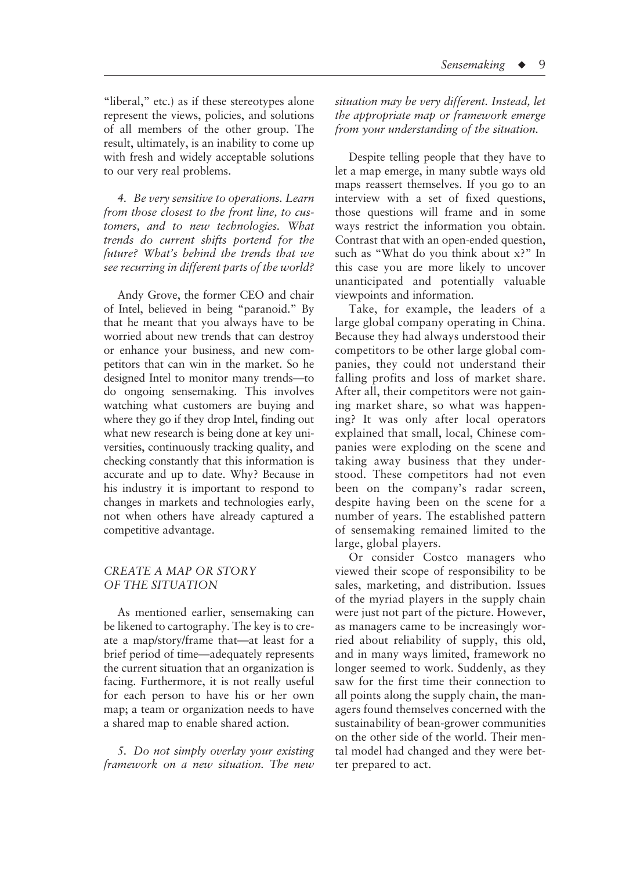"liberal," etc.) as if these stereotypes alone represent the views, policies, and solutions of all members of the other group. The result, ultimately, is an inability to come up with fresh and widely acceptable solutions to our very real problems.

*4. Be very sensitive to operations. Learn from those closest to the front line, to customers, and to new technologies. What trends do current shifts portend for the future? What's behind the trends that we see recurring in different parts of the world?*

Andy Grove, the former CEO and chair of Intel, believed in being "paranoid." By that he meant that you always have to be worried about new trends that can destroy or enhance your business, and new competitors that can win in the market. So he designed Intel to monitor many trends—to do ongoing sensemaking. This involves watching what customers are buying and where they go if they drop Intel, finding out what new research is being done at key universities, continuously tracking quality, and checking constantly that this information is accurate and up to date. Why? Because in his industry it is important to respond to changes in markets and technologies early, not when others have already captured a competitive advantage.

#### *CREATE A MAP OR STORY OF THE SITUATION*

As mentioned earlier, sensemaking can be likened to cartography. The key is to create a map/story/frame that—at least for a brief period of time—adequately represents the current situation that an organization is facing. Furthermore, it is not really useful for each person to have his or her own map; a team or organization needs to have a shared map to enable shared action.

*5. Do not simply overlay your existing framework on a new situation. The new*  *situation may be very different. Instead, let the appropriate map or framework emerge from your understanding of the situation.*

Despite telling people that they have to let a map emerge, in many subtle ways old maps reassert themselves. If you go to an interview with a set of fixed questions, those questions will frame and in some ways restrict the information you obtain. Contrast that with an open-ended question, such as "What do you think about x?" In this case you are more likely to uncover unanticipated and potentially valuable viewpoints and information.

Take, for example, the leaders of a large global company operating in China. Because they had always understood their competitors to be other large global companies, they could not understand their falling profits and loss of market share. After all, their competitors were not gaining market share, so what was happening? It was only after local operators explained that small, local, Chinese companies were exploding on the scene and taking away business that they understood. These competitors had not even been on the company's radar screen, despite having been on the scene for a number of years. The established pattern of sensemaking remained limited to the large, global players.

Or consider Costco managers who viewed their scope of responsibility to be sales, marketing, and distribution. Issues of the myriad players in the supply chain were just not part of the picture. However, as managers came to be increasingly worried about reliability of supply, this old, and in many ways limited, framework no longer seemed to work. Suddenly, as they saw for the first time their connection to all points along the supply chain, the managers found themselves concerned with the sustainability of bean-grower communities on the other side of the world. Their mental model had changed and they were better prepared to act.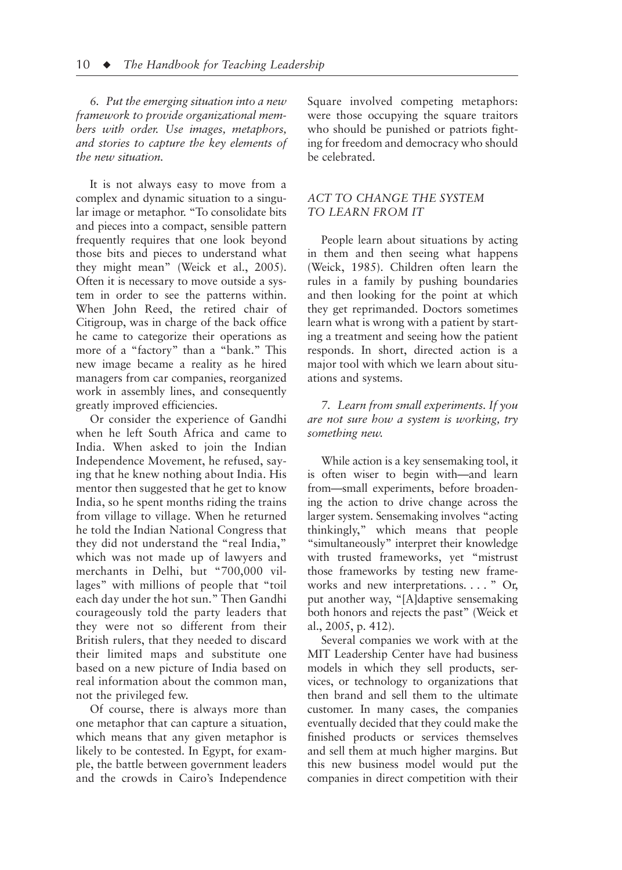*6. Put the emerging situation into a new framework to provide organizational members with order. Use images, metaphors, and stories to capture the key elements of the new situation.*

It is not always easy to move from a complex and dynamic situation to a singular image or metaphor. "To consolidate bits and pieces into a compact, sensible pattern frequently requires that one look beyond those bits and pieces to understand what they might mean" (Weick et al., 2005). Often it is necessary to move outside a system in order to see the patterns within. When John Reed, the retired chair of Citigroup, was in charge of the back office he came to categorize their operations as more of a "factory" than a "bank." This new image became a reality as he hired managers from car companies, reorganized work in assembly lines, and consequently greatly improved efficiencies.

Or consider the experience of Gandhi when he left South Africa and came to India. When asked to join the Indian Independence Movement, he refused, saying that he knew nothing about India. His mentor then suggested that he get to know India, so he spent months riding the trains from village to village. When he returned he told the Indian National Congress that they did not understand the "real India," which was not made up of lawyers and merchants in Delhi, but "700,000 villages" with millions of people that "toil each day under the hot sun." Then Gandhi courageously told the party leaders that they were not so different from their British rulers, that they needed to discard their limited maps and substitute one based on a new picture of India based on real information about the common man, not the privileged few.

Of course, there is always more than one metaphor that can capture a situation, which means that any given metaphor is likely to be contested. In Egypt, for example, the battle between government leaders and the crowds in Cairo's Independence Square involved competing metaphors: were those occupying the square traitors who should be punished or patriots fighting for freedom and democracy who should be celebrated.

#### *ACT TO CHANGE THE SYSTEM TO LEARN FROM IT*

People learn about situations by acting in them and then seeing what happens (Weick, 1985). Children often learn the rules in a family by pushing boundaries and then looking for the point at which they get reprimanded. Doctors sometimes learn what is wrong with a patient by starting a treatment and seeing how the patient responds. In short, directed action is a major tool with which we learn about situations and systems.

*7. Learn from small experiments. If you are not sure how a system is working, try something new.*

While action is a key sensemaking tool, it is often wiser to begin with—and learn from—small experiments, before broadening the action to drive change across the larger system. Sensemaking involves "acting thinkingly," which means that people "simultaneously" interpret their knowledge with trusted frameworks, yet "mistrust those frameworks by testing new frameworks and new interpretations. . . . " Or, put another way, "[A]daptive sensemaking both honors and rejects the past" (Weick et al., 2005, p. 412).

Several companies we work with at the MIT Leadership Center have had business models in which they sell products, services, or technology to organizations that then brand and sell them to the ultimate customer. In many cases, the companies eventually decided that they could make the finished products or services themselves and sell them at much higher margins. But this new business model would put the companies in direct competition with their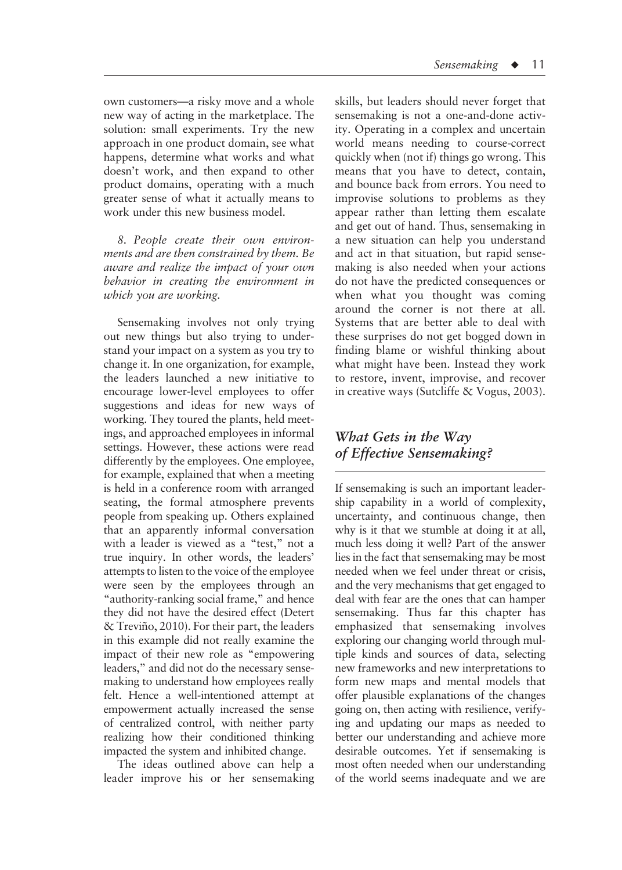own customers—a risky move and a whole new way of acting in the marketplace. The solution: small experiments. Try the new approach in one product domain, see what happens, determine what works and what doesn't work, and then expand to other product domains, operating with a much greater sense of what it actually means to work under this new business model.

*8. People create their own environments and are then constrained by them. Be aware and realize the impact of your own behavior in creating the environment in which you are working.*

Sensemaking involves not only trying out new things but also trying to understand your impact on a system as you try to change it. In one organization, for example, the leaders launched a new initiative to encourage lower-level employees to offer suggestions and ideas for new ways of working. They toured the plants, held meetings, and approached employees in informal settings. However, these actions were read differently by the employees. One employee, for example, explained that when a meeting is held in a conference room with arranged seating, the formal atmosphere prevents people from speaking up. Others explained that an apparently informal conversation with a leader is viewed as a "test," not a true inquiry. In other words, the leaders' attempts to listen to the voice of the employee were seen by the employees through an "authority-ranking social frame," and hence they did not have the desired effect (Detert & Treviño, 2010). For their part, the leaders in this example did not really examine the impact of their new role as "empowering leaders," and did not do the necessary sensemaking to understand how employees really felt. Hence a well-intentioned attempt at empowerment actually increased the sense of centralized control, with neither party realizing how their conditioned thinking impacted the system and inhibited change.

The ideas outlined above can help a leader improve his or her sensemaking

skills, but leaders should never forget that sensemaking is not a one-and-done activity. Operating in a complex and uncertain world means needing to course-correct quickly when (not if) things go wrong. This means that you have to detect, contain, and bounce back from errors. You need to improvise solutions to problems as they appear rather than letting them escalate and get out of hand. Thus, sensemaking in a new situation can help you understand and act in that situation, but rapid sensemaking is also needed when your actions do not have the predicted consequences or when what you thought was coming around the corner is not there at all. Systems that are better able to deal with these surprises do not get bogged down in finding blame or wishful thinking about what might have been. Instead they work to restore, invent, improvise, and recover in creative ways (Sutcliffe & Vogus, 2003).

# *What Gets in the Way of Effective Sensemaking?*

If sensemaking is such an important leadership capability in a world of complexity, uncertainty, and continuous change, then why is it that we stumble at doing it at all, much less doing it well? Part of the answer lies in the fact that sensemaking may be most needed when we feel under threat or crisis, and the very mechanisms that get engaged to deal with fear are the ones that can hamper sensemaking. Thus far this chapter has emphasized that sensemaking involves exploring our changing world through multiple kinds and sources of data, selecting new frameworks and new interpretations to form new maps and mental models that offer plausible explanations of the changes going on, then acting with resilience, verifying and updating our maps as needed to better our understanding and achieve more desirable outcomes. Yet if sensemaking is most often needed when our understanding of the world seems inadequate and we are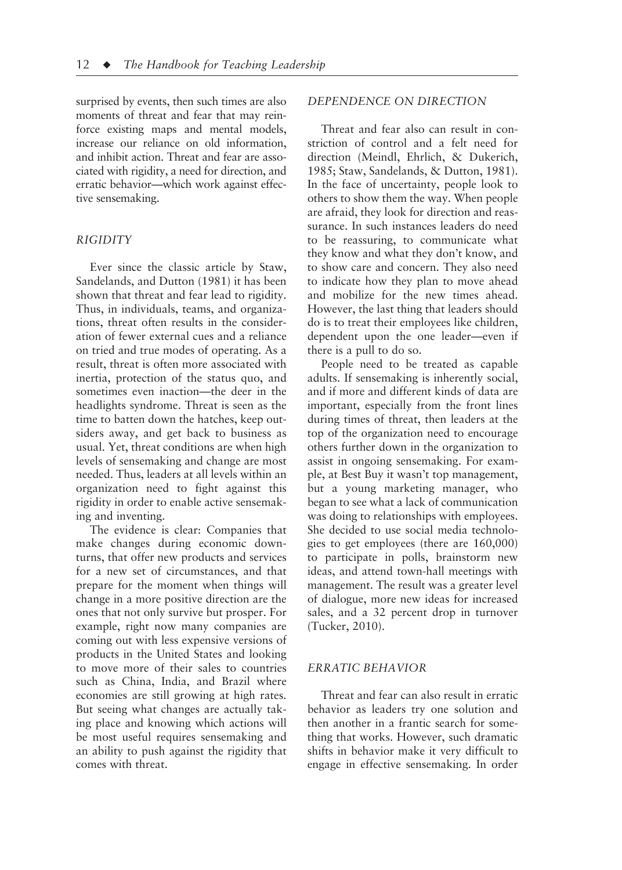surprised by events, then such times are also moments of threat and fear that may reinforce existing maps and mental models, increase our reliance on old information, and inhibit action. Threat and fear are associated with rigidity, a need for direction, and erratic behavior—which work against effective sensemaking.

#### *RIGIDITY*

Ever since the classic article by Staw, Sandelands, and Dutton (1981) it has been shown that threat and fear lead to rigidity. Thus, in individuals, teams, and organizations, threat often results in the consideration of fewer external cues and a reliance on tried and true modes of operating. As a result, threat is often more associated with inertia, protection of the status quo, and sometimes even inaction—the deer in the headlights syndrome. Threat is seen as the time to batten down the hatches, keep outsiders away, and get back to business as usual. Yet, threat conditions are when high levels of sensemaking and change are most needed. Thus, leaders at all levels within an organization need to fight against this rigidity in order to enable active sensemaking and inventing.

The evidence is clear: Companies that make changes during economic downturns, that offer new products and services for a new set of circumstances, and that prepare for the moment when things will change in a more positive direction are the ones that not only survive but prosper. For example, right now many companies are coming out with less expensive versions of products in the United States and looking to move more of their sales to countries such as China, India, and Brazil where economies are still growing at high rates. But seeing what changes are actually taking place and knowing which actions will be most useful requires sensemaking and an ability to push against the rigidity that comes with threat.

#### *DEPENDENCE ON DIRECTION*

Threat and fear also can result in constriction of control and a felt need for direction (Meindl, Ehrlich, & Dukerich, 1985; Staw, Sandelands, & Dutton, 1981). In the face of uncertainty, people look to others to show them the way. When people are afraid, they look for direction and reassurance. In such instances leaders do need to be reassuring, to communicate what they know and what they don't know, and to show care and concern. They also need to indicate how they plan to move ahead and mobilize for the new times ahead. However, the last thing that leaders should do is to treat their employees like children, dependent upon the one leader—even if there is a pull to do so.

People need to be treated as capable adults. If sensemaking is inherently social, and if more and different kinds of data are important, especially from the front lines during times of threat, then leaders at the top of the organization need to encourage others further down in the organization to assist in ongoing sensemaking. For example, at Best Buy it wasn't top management, but a young marketing manager, who began to see what a lack of communication was doing to relationships with employees. She decided to use social media technologies to get employees (there are 160,000) to participate in polls, brainstorm new ideas, and attend town-hall meetings with management. The result was a greater level of dialogue, more new ideas for increased sales, and a 32 percent drop in turnover (Tucker, 2010).

### *ERRATIC BEHAVIOR*

Threat and fear can also result in erratic behavior as leaders try one solution and then another in a frantic search for something that works. However, such dramatic shifts in behavior make it very difficult to engage in effective sensemaking. In order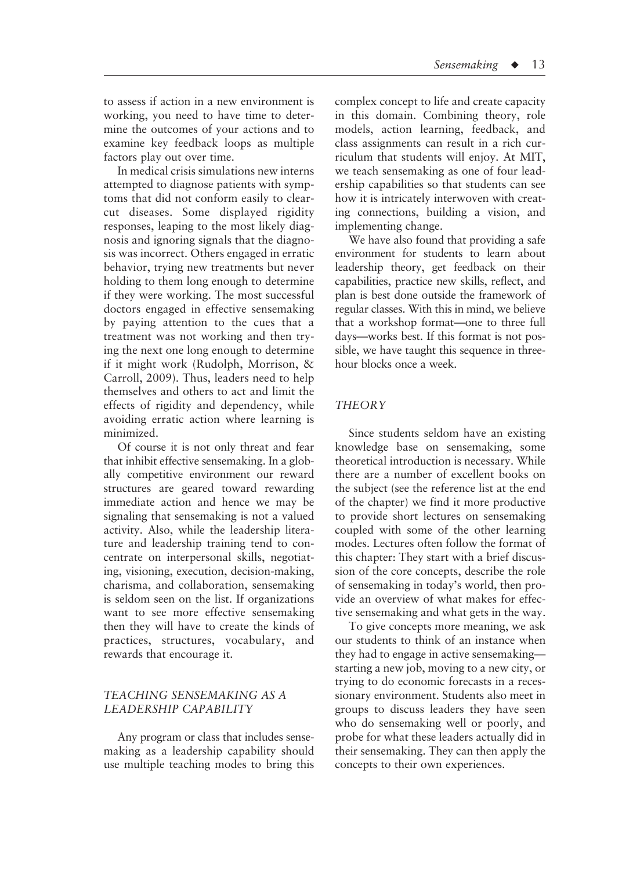to assess if action in a new environment is working, you need to have time to determine the outcomes of your actions and to examine key feedback loops as multiple factors play out over time.

In medical crisis simulations new interns attempted to diagnose patients with symptoms that did not conform easily to clearcut diseases. Some displayed rigidity responses, leaping to the most likely diagnosis and ignoring signals that the diagnosis was incorrect. Others engaged in erratic behavior, trying new treatments but never holding to them long enough to determine if they were working. The most successful doctors engaged in effective sensemaking by paying attention to the cues that a treatment was not working and then trying the next one long enough to determine if it might work (Rudolph, Morrison, & Carroll, 2009). Thus, leaders need to help themselves and others to act and limit the effects of rigidity and dependency, while avoiding erratic action where learning is minimized.

Of course it is not only threat and fear that inhibit effective sensemaking. In a globally competitive environment our reward structures are geared toward rewarding immediate action and hence we may be signaling that sensemaking is not a valued activity. Also, while the leadership literature and leadership training tend to concentrate on interpersonal skills, negotiating, visioning, execution, decision-making, charisma, and collaboration, sensemaking is seldom seen on the list. If organizations want to see more effective sensemaking then they will have to create the kinds of practices, structures, vocabulary, and rewards that encourage it.

## *TEACHING SENSEMAKING AS A LEADERSHIP CAPABILITY*

Any program or class that includes sensemaking as a leadership capability should use multiple teaching modes to bring this complex concept to life and create capacity in this domain. Combining theory, role models, action learning, feedback, and class assignments can result in a rich curriculum that students will enjoy. At MIT, we teach sensemaking as one of four leadership capabilities so that students can see how it is intricately interwoven with creating connections, building a vision, and implementing change.

We have also found that providing a safe environment for students to learn about leadership theory, get feedback on their capabilities, practice new skills, reflect, and plan is best done outside the framework of regular classes. With this in mind, we believe that a workshop format—one to three full days—works best. If this format is not possible, we have taught this sequence in threehour blocks once a week.

#### *THEORY*

Since students seldom have an existing knowledge base on sensemaking, some theoretical introduction is necessary. While there are a number of excellent books on the subject (see the reference list at the end of the chapter) we find it more productive to provide short lectures on sensemaking coupled with some of the other learning modes. Lectures often follow the format of this chapter: They start with a brief discussion of the core concepts, describe the role of sensemaking in today's world, then provide an overview of what makes for effective sensemaking and what gets in the way.

To give concepts more meaning, we ask our students to think of an instance when they had to engage in active sensemaking starting a new job, moving to a new city, or trying to do economic forecasts in a recessionary environment. Students also meet in groups to discuss leaders they have seen who do sensemaking well or poorly, and probe for what these leaders actually did in their sensemaking. They can then apply the concepts to their own experiences.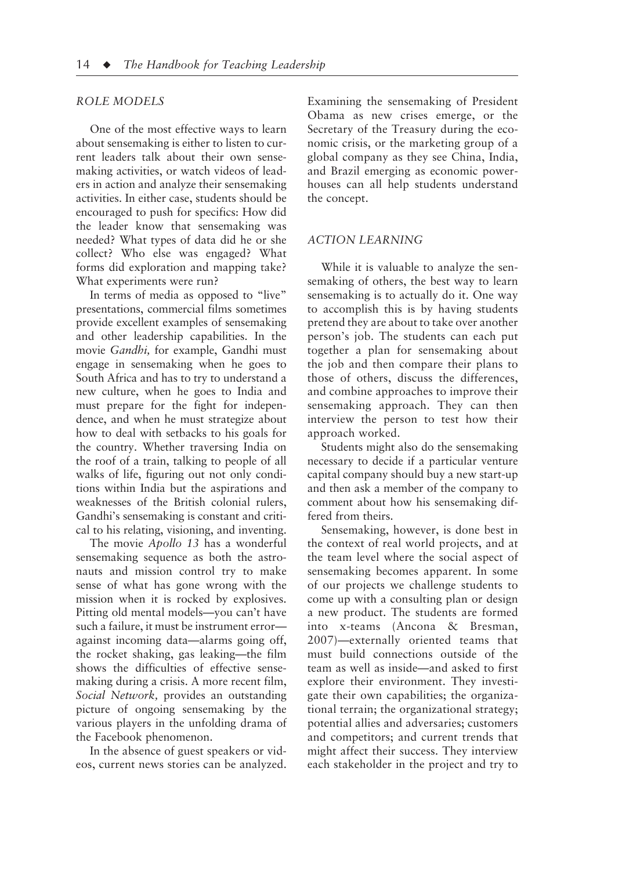#### *ROLE MODELS*

One of the most effective ways to learn about sensemaking is either to listen to current leaders talk about their own sensemaking activities, or watch videos of leaders in action and analyze their sensemaking activities. In either case, students should be encouraged to push for specifics: How did the leader know that sensemaking was needed? What types of data did he or she collect? Who else was engaged? What forms did exploration and mapping take? What experiments were run?

In terms of media as opposed to "live" presentations, commercial films sometimes provide excellent examples of sensemaking and other leadership capabilities. In the movie *Gandhi,* for example, Gandhi must engage in sensemaking when he goes to South Africa and has to try to understand a new culture, when he goes to India and must prepare for the fight for independence, and when he must strategize about how to deal with setbacks to his goals for the country. Whether traversing India on the roof of a train, talking to people of all walks of life, figuring out not only conditions within India but the aspirations and weaknesses of the British colonial rulers, Gandhi's sensemaking is constant and critical to his relating, visioning, and inventing.

The movie *Apollo 13* has a wonderful sensemaking sequence as both the astronauts and mission control try to make sense of what has gone wrong with the mission when it is rocked by explosives. Pitting old mental models—you can't have such a failure, it must be instrument error against incoming data—alarms going off, the rocket shaking, gas leaking—the film shows the difficulties of effective sensemaking during a crisis. A more recent film, *Social Network,* provides an outstanding picture of ongoing sensemaking by the various players in the unfolding drama of the Facebook phenomenon.

In the absence of guest speakers or videos, current news stories can be analyzed.

Examining the sensemaking of President Obama as new crises emerge, or the Secretary of the Treasury during the economic crisis, or the marketing group of a global company as they see China, India, and Brazil emerging as economic powerhouses can all help students understand the concept.

#### *ACTION LEARNING*

While it is valuable to analyze the sensemaking of others, the best way to learn sensemaking is to actually do it. One way to accomplish this is by having students pretend they are about to take over another person's job. The students can each put together a plan for sensemaking about the job and then compare their plans to those of others, discuss the differences, and combine approaches to improve their sensemaking approach. They can then interview the person to test how their approach worked.

Students might also do the sensemaking necessary to decide if a particular venture capital company should buy a new start-up and then ask a member of the company to comment about how his sensemaking differed from theirs.

Sensemaking, however, is done best in the context of real world projects, and at the team level where the social aspect of sensemaking becomes apparent. In some of our projects we challenge students to come up with a consulting plan or design a new product. The students are formed into x-teams (Ancona & Bresman, 2007)—externally oriented teams that must build connections outside of the team as well as inside—and asked to first explore their environment. They investigate their own capabilities; the organizational terrain; the organizational strategy; potential allies and adversaries; customers and competitors; and current trends that might affect their success. They interview each stakeholder in the project and try to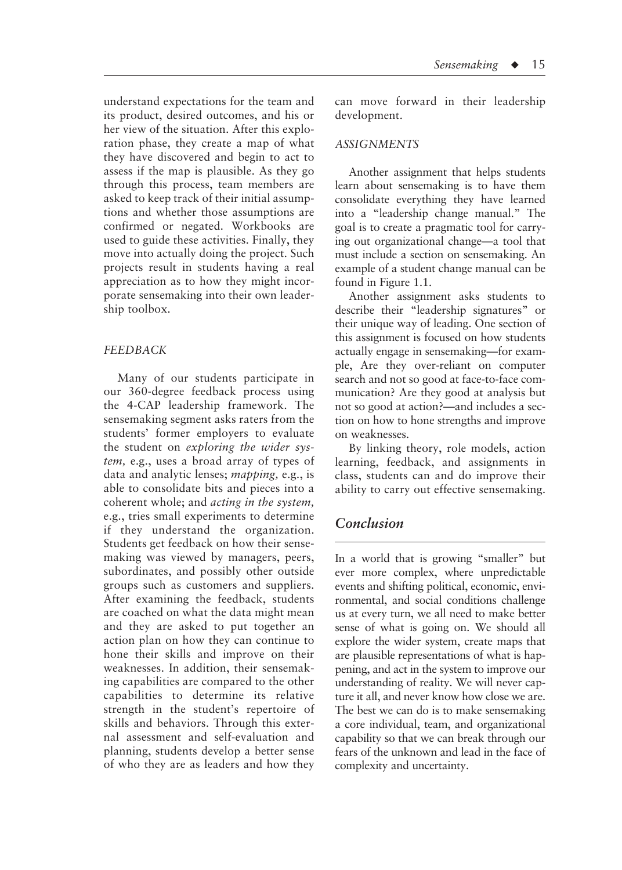understand expectations for the team and its product, desired outcomes, and his or her view of the situation. After this exploration phase, they create a map of what they have discovered and begin to act to assess if the map is plausible. As they go through this process, team members are asked to keep track of their initial assumptions and whether those assumptions are confirmed or negated. Workbooks are used to guide these activities. Finally, they move into actually doing the project. Such projects result in students having a real appreciation as to how they might incorporate sensemaking into their own leadership toolbox.

#### *FEEDBACK*

Many of our students participate in our 360-degree feedback process using the 4-CAP leadership framework. The sensemaking segment asks raters from the students' former employers to evaluate the student on *exploring the wider system,* e.g., uses a broad array of types of data and analytic lenses; *mapping,* e.g., is able to consolidate bits and pieces into a coherent whole; and *acting in the system,* e.g., tries small experiments to determine if they understand the organization. Students get feedback on how their sensemaking was viewed by managers, peers, subordinates, and possibly other outside groups such as customers and suppliers. After examining the feedback, students are coached on what the data might mean and they are asked to put together an action plan on how they can continue to hone their skills and improve on their weaknesses. In addition, their sensemaking capabilities are compared to the other capabilities to determine its relative strength in the student's repertoire of skills and behaviors. Through this external assessment and self-evaluation and planning, students develop a better sense of who they are as leaders and how they can move forward in their leadership development.

#### *ASSIGNMENTS*

Another assignment that helps students learn about sensemaking is to have them consolidate everything they have learned into a "leadership change manual." The goal is to create a pragmatic tool for carrying out organizational change—a tool that must include a section on sensemaking. An example of a student change manual can be found in Figure 1.1.

Another assignment asks students to describe their "leadership signatures" or their unique way of leading. One section of this assignment is focused on how students actually engage in sensemaking—for example, Are they over-reliant on computer search and not so good at face-to-face communication? Are they good at analysis but not so good at action?—and includes a section on how to hone strengths and improve on weaknesses.

By linking theory, role models, action learning, feedback, and assignments in class, students can and do improve their ability to carry out effective sensemaking.

# *Conclusion*

In a world that is growing "smaller" but ever more complex, where unpredictable events and shifting political, economic, environmental, and social conditions challenge us at every turn, we all need to make better sense of what is going on. We should all explore the wider system, create maps that are plausible representations of what is happening, and act in the system to improve our understanding of reality. We will never capture it all, and never know how close we are. The best we can do is to make sensemaking a core individual, team, and organizational capability so that we can break through our fears of the unknown and lead in the face of complexity and uncertainty.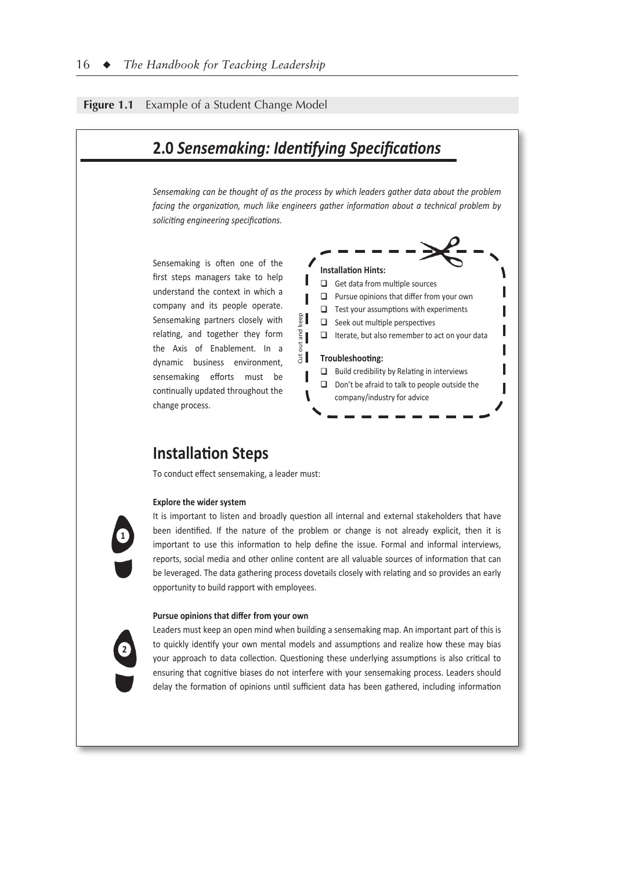#### **Figure 1.1** Example of a Student Change Model



#### **Pursue opinions that differ from your own**

**2**

opportunity to build rapport with employees.

Leaders must keep an open mind when building a sensemaking map. An important part of this is to quickly identify your own mental models and assumptions and realize how these may bias your approach to data collection. Questioning these underlying assumptions is also critical to ensuring that cognitive biases do not interfere with your sensemaking process. Leaders should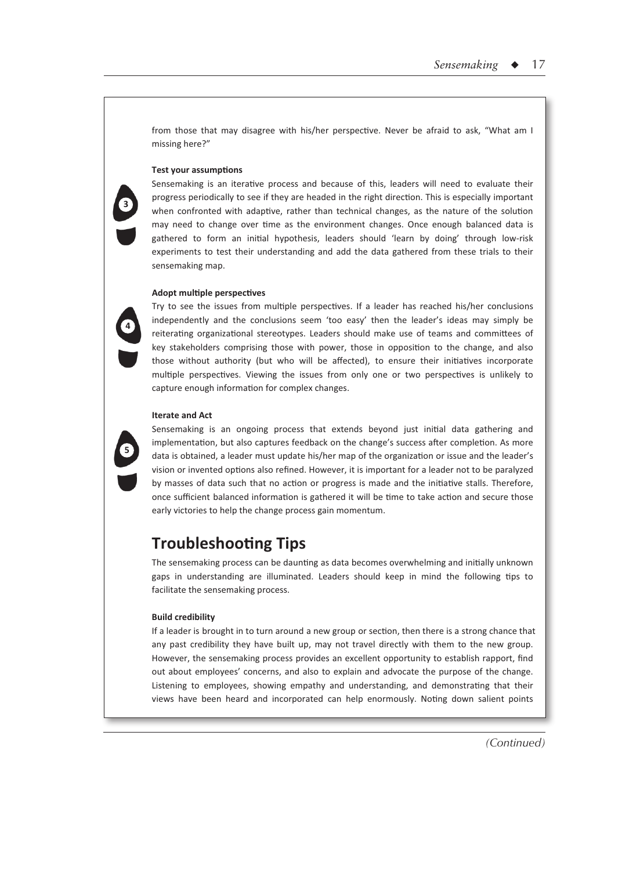from those that may disagree with his/her perspective. Never be afraid to ask, "What am I missing here?"

#### **Test your assumptions**

Sensemaking is an iterative process and because of this, leaders will need to evaluate their progress periodically to see if they are headed in the right direction. This is especially important when confronted with adaptive, rather than technical changes, as the nature of the solution may need to change over time as the environment changes. Once enough balanced data is gathered to form an initial hypothesis, leaders should 'learn by doing' through low-risk experiments to test their understanding and add the data gathered from these trials to their sensemaking map.

#### **Adopt multiple perspectives**

Try to see the issues from multiple perspectives. If a leader has reached his/her conclusions independently and the conclusions seem 'too easy' then the leader's ideas may simply be reiterating organizational stereotypes. Leaders should make use of teams and committees of key stakeholders comprising those with power, those in opposition to the change, and also those without authority (but who will be affected), to ensure their initiatives incorporate multiple perspectives. Viewing the issues from only one or two perspectives is unlikely to capture enough information for complex changes.

#### **Iterate and Act**



**3** 

**4** 

Sensemaking is an ongoing process that extends beyond just initial data gathering and implementation, but also captures feedback on the change's success after completion. As more data is obtained, a leader must update his/her map of the organization or issue and the leader's vision or invented options also refined. However, it is important for a leader not to be paralyzed by masses of data such that no action or progress is made and the initiative stalls. Therefore, once sufficient balanced information is gathered it will be time to take action and secure those early victories to help the change process gain momentum.

# **Troubleshooting Tips**

The sensemaking process can be daunting as data becomes overwhelming and initially unknown gaps in understanding are illuminated. Leaders should keep in mind the following tips to facilitate the sensemaking process.

#### **Build credibility**

If a leader is brought in to turn around a new group or section, then there is a strong chance that any past credibility they have built up, may not travel directly with them to the new group. However, the sensemaking process provides an excellent opportunity to establish rapport, find out about employees' concerns, and also to explain and advocate the purpose of the change. Listening to employees, showing empathy and understanding, and demonstrating that their views have been heard and incorporated can help enormously. Noting down salient points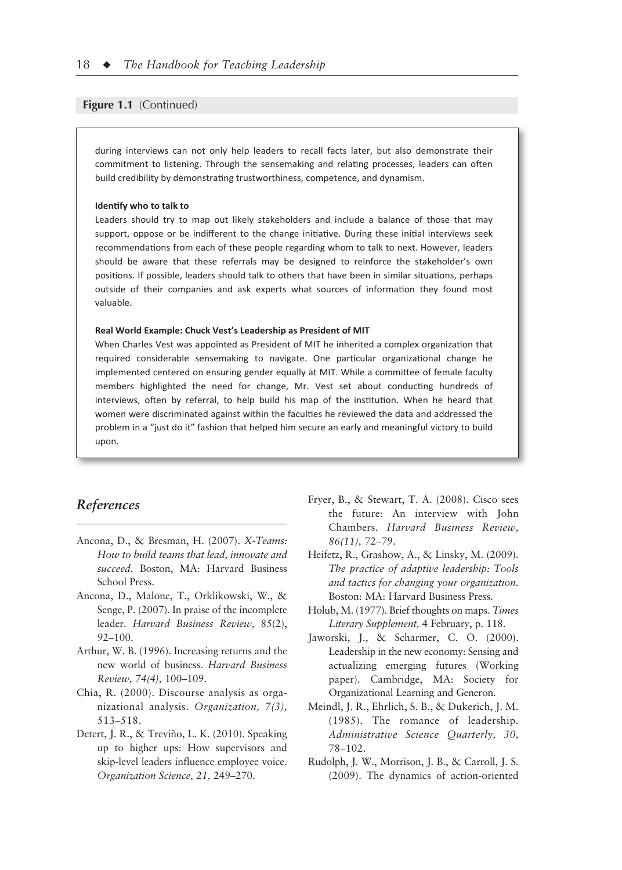#### **Figure 1.1** (Continued)

during interviews can not only help leaders to recall facts later, but also demonstrate their commitment to listening. Through the sensemaking and relating processes, leaders can often build credibility by demonstrating trustworthiness, competence, and dynamism.

#### **Identify who to talk to**

Leaders should try to map out likely stakeholders and include a balance of those that may support, oppose or be indifferent to the change initiative. During these initial interviews seek recommendations from each of these people regarding whom to talk to next. However, leaders should be aware that these referrals may be designed to reinforce the stakeholder's own positions. If possible, leaders should talk to others that have been in similar situations, perhaps outside of their companies and ask experts what sources of information they found most valuable.

#### **Real World Example: Chuck Vest's Leadership as President of MIT**

When Charles Vest was appointed as President of MIT he inherited a complex organization that required considerable sensemaking to navigate. One particular organizational change he implemented centered on ensuring gender equally at MIT. While a committee of female faculty members highlighted the need for change, Mr. Vest set about conducting hundreds of interviews, often by referral, to help build his map of the institution. When he heard that women were discriminated against within the faculties he reviewed the data and addressed the problem in a "just do it" fashion that helped him secure an early and meaningful victory to build upon.

## *References*

- Ancona, D., & Bresman, H. (2007). *X-Teams: How to build teams that lead, innovate and succeed.* Boston, MA: Harvard Business School Press.
- Ancona, D., Malone, T., Orklikowski, W., & Senge, P. (2007). In praise of the incomplete leader. *Harvard Business Review,* 85(2), 92–100.
- Arthur, W. B. (1996). Increasing returns and the new world of business. *Harvard Business Review, 74(4),* 100–109.
- Chia, R. (2000). Discourse analysis as organizational analysis. *Organization, 7(3),* 513–518.
- Detert, J. R., & Treviño, L. K. (2010). Speaking up to higher ups: How supervisors and skip-level leaders influence employee voice. *Organization Science, 21,* 249–270.
- Fryer, B., & Stewart, T. A. (2008). Cisco sees the future: An interview with John Chambers. *Harvard Business Review, 86(11),* 72–79.
- Heifetz, R., Grashow, A., & Linsky, M. (2009). *The practice of adaptive leadership: Tools and tactics for changing your organization.* Boston: MA: Harvard Business Press.
- Holub, M. (1977). Brief thoughts on maps. *Times Literary Supplement,* 4 February, p. 118.
- Jaworski, J., & Scharmer, C. O. (2000). Leadership in the new economy: Sensing and actualizing emerging futures (Working paper). Cambridge, MA: Society for Organizational Learning and Generon.
- Meindl, J. R., Ehrlich, S. B., & Dukerich, J. M. (1985). The romance of leadership. *Administrative Science Quarterly, 30,* 78–102.
- Rudolph, J. W., Morrison, J. B., & Carroll, J. S. (2009). The dynamics of action-oriented